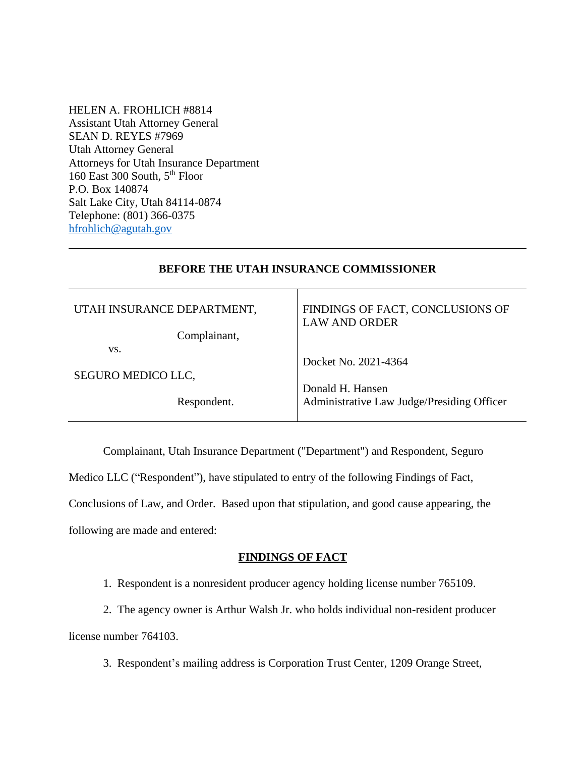HELEN A. FROHLICH #8814 Assistant Utah Attorney General SEAN D. REYES #7969 Utah Attorney General Attorneys for Utah Insurance Department 160 East 300 South, 5<sup>th</sup> Floor P.O. Box 140874 Salt Lake City, Utah 84114-0874 Telephone: (801) 366-0375 [hfrohlich@agutah.gov](mailto:hfrohlich@agutah.gov)

## **BEFORE THE UTAH INSURANCE COMMISSIONER**

| UTAH INSURANCE DEPARTMENT, | FINDINGS OF FACT, CONCLUSIONS OF<br><b>LAW AND ORDER</b> |
|----------------------------|----------------------------------------------------------|
| Complainant,               |                                                          |
| VS.                        |                                                          |
|                            | Docket No. 2021-4364                                     |
| SEGURO MEDICO LLC,         |                                                          |
|                            | Donald H. Hansen                                         |
| Respondent.                | Administrative Law Judge/Presiding Officer               |
|                            |                                                          |

Complainant, Utah Insurance Department ("Department") and Respondent, Seguro Medico LLC ("Respondent"), have stipulated to entry of the following Findings of Fact, Conclusions of Law, and Order. Based upon that stipulation, and good cause appearing, the following are made and entered:

# **FINDINGS OF FACT**

1. Respondent is a nonresident producer agency holding license number 765109.

2. The agency owner is Arthur Walsh Jr. who holds individual non-resident producer license number 764103.

3. Respondent's mailing address is Corporation Trust Center, 1209 Orange Street,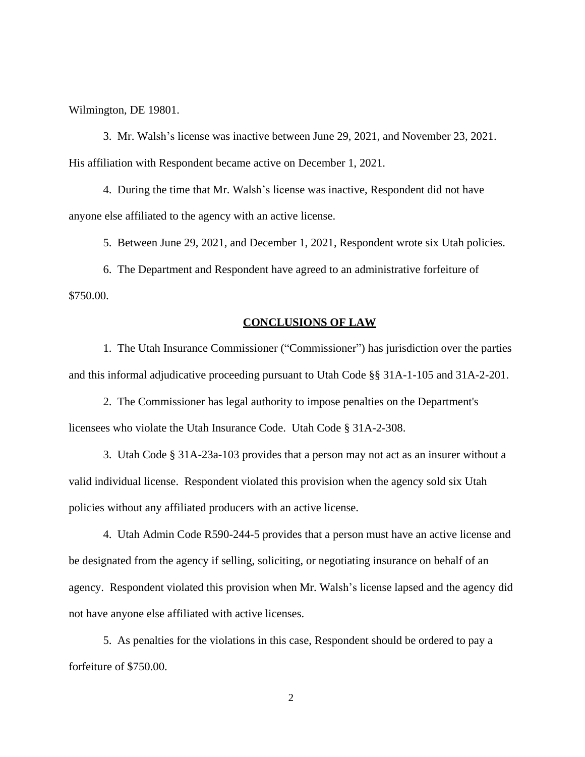Wilmington, DE 19801.

3. Mr. Walsh's license was inactive between June 29, 2021, and November 23, 2021. His affiliation with Respondent became active on December 1, 2021.

4. During the time that Mr. Walsh's license was inactive, Respondent did not have anyone else affiliated to the agency with an active license.

5. Between June 29, 2021, and December 1, 2021, Respondent wrote six Utah policies.

6. The Department and Respondent have agreed to an administrative forfeiture of \$750.00.

### **CONCLUSIONS OF LAW**

1. The Utah Insurance Commissioner ("Commissioner") has jurisdiction over the parties and this informal adjudicative proceeding pursuant to Utah Code §§ 31A-1-105 and 31A-2-201.

2. The Commissioner has legal authority to impose penalties on the Department's licensees who violate the Utah Insurance Code. Utah Code § 31A-2-308.

3. Utah Code § 31A-23a-103 provides that a person may not act as an insurer without a valid individual license. Respondent violated this provision when the agency sold six Utah policies without any affiliated producers with an active license.

4. Utah Admin Code R590-244-5 provides that a person must have an active license and be designated from the agency if selling, soliciting, or negotiating insurance on behalf of an agency. Respondent violated this provision when Mr. Walsh's license lapsed and the agency did not have anyone else affiliated with active licenses.

5. As penalties for the violations in this case, Respondent should be ordered to pay a forfeiture of \$750.00.

2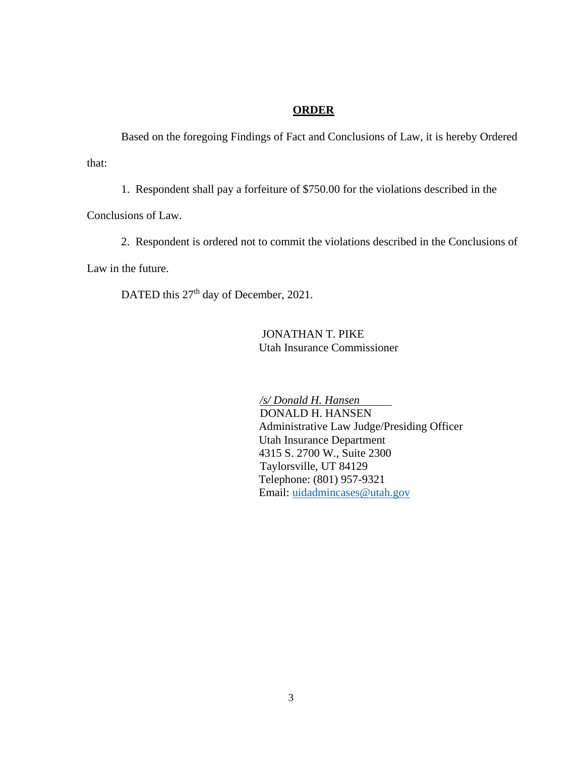## **ORDER**

Based on the foregoing Findings of Fact and Conclusions of Law, it is hereby Ordered that:

1. Respondent shall pay a forfeiture of \$750.00 for the violations described in the

Conclusions of Law.

2. Respondent is ordered not to commit the violations described in the Conclusions of

Law in the future.

DATED this 27<sup>th</sup> day of December, 2021.

JONATHAN T. PIKE Utah Insurance Commissioner

 */s/ Donald H. Hansen* DONALD H. HANSEN Administrative Law Judge/Presiding Officer Utah Insurance Department 4315 S. 2700 W., Suite 2300 Taylorsville, UT 84129 Telephone: (801) 957-9321 Email: [uidadmincases@utah.gov](mailto:uidadmincases@utah.gov)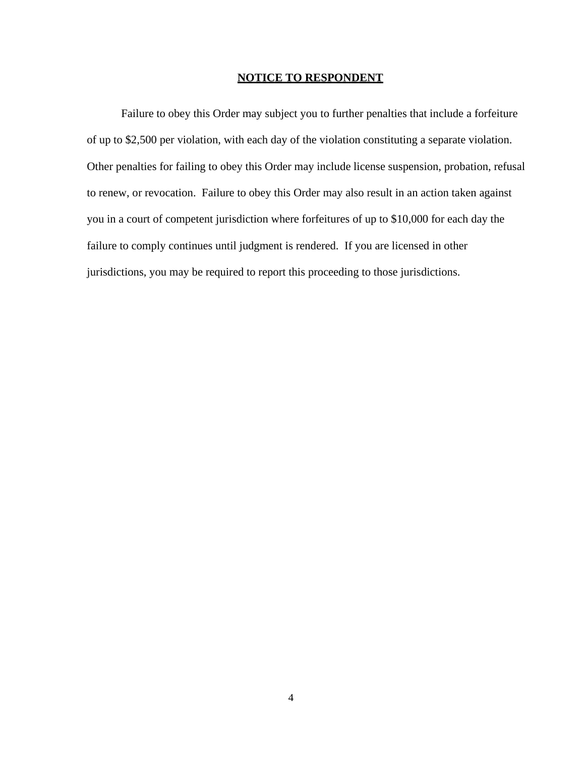#### **NOTICE TO RESPONDENT**

Failure to obey this Order may subject you to further penalties that include a forfeiture of up to \$2,500 per violation, with each day of the violation constituting a separate violation. Other penalties for failing to obey this Order may include license suspension, probation, refusal to renew, or revocation. Failure to obey this Order may also result in an action taken against you in a court of competent jurisdiction where forfeitures of up to \$10,000 for each day the failure to comply continues until judgment is rendered. If you are licensed in other jurisdictions, you may be required to report this proceeding to those jurisdictions.